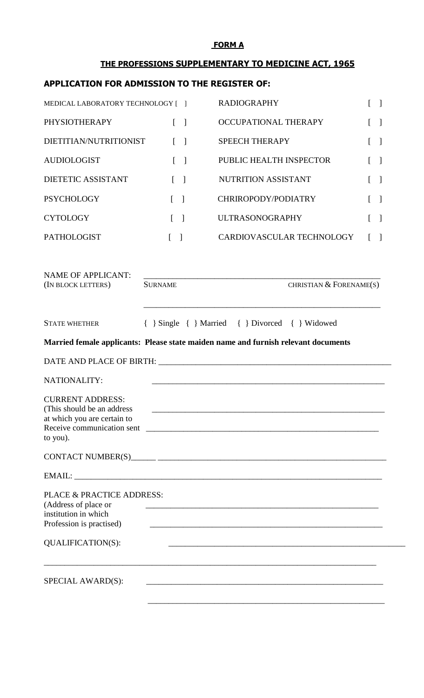# **FORM A**

# **THE PROFESSIONS SUPPLEMENTARY TO MEDICINE ACT, 1965**

# **APPLICATION FOR ADMISSION TO THE REGISTER OF:**

| MEDICAL LABORATORY TECHNOLOGY [ ] |                                   | <b>RADIOGRAPHY</b>        | $\begin{bmatrix} 1 & 1 \end{bmatrix}$       |
|-----------------------------------|-----------------------------------|---------------------------|---------------------------------------------|
| PHYSIOTHERAPY                     | $\lceil \; \rceil$                | OCCUPATIONAL THERAPY      |                                             |
| DIETITIAN/NUTRITIONIST            | $\lceil$ 1                        | <b>SPEECH THERAPY</b>     | $[\ ]$                                      |
| <b>AUDIOLOGIST</b>                | $\begin{bmatrix} \end{bmatrix}$   | PUBLIC HEALTH INSPECTOR   |                                             |
| <b>DIETETIC ASSISTANT</b>         | $\lceil$ 1                        | NUTRITION ASSISTANT       | $\begin{bmatrix} \phantom{-} \end{bmatrix}$ |
| <b>PSYCHOLOGY</b>                 | $\begin{bmatrix} 1 \end{bmatrix}$ | CHRIROPODY/PODIATRY       | $\begin{bmatrix} 1 \end{bmatrix}$           |
| <b>CYTOLOGY</b>                   | $\begin{bmatrix} 1 \end{bmatrix}$ | <b>ULTRASONOGRAPHY</b>    | $\begin{bmatrix} 1 \end{bmatrix}$           |
| <b>PATHOLOGIST</b>                | $\begin{bmatrix} 1 \end{bmatrix}$ | CARDIOVASCULAR TECHNOLOGY | $\lceil \; \rceil$                          |
|                                   |                                   |                           |                                             |
| MAME OF ADDI ICANT.               |                                   |                           |                                             |

| NAME OF APPLICANT:                                                                                                                |                                                                                    |                         |
|-----------------------------------------------------------------------------------------------------------------------------------|------------------------------------------------------------------------------------|-------------------------|
| (IN BLOCK LETTERS)                                                                                                                | <b>SURNAME</b>                                                                     | CHRISTIAN & FORENAME(S) |
| <b>STATE WHETHER</b>                                                                                                              | Single { } Married { } Divorced { } Widowed                                        |                         |
|                                                                                                                                   | Married female applicants: Please state maiden name and furnish relevant documents |                         |
|                                                                                                                                   |                                                                                    |                         |
| NATIONALITY:                                                                                                                      |                                                                                    |                         |
| <b>CURRENT ADDRESS:</b><br>(This should be an address)<br>at which you are certain to<br>to you).                                 |                                                                                    |                         |
|                                                                                                                                   |                                                                                    |                         |
|                                                                                                                                   |                                                                                    |                         |
| PLACE & PRACTICE ADDRESS:<br>(Address of place or<br>institution in which<br>Profession is practised)<br><b>QUALIFICATION(S):</b> |                                                                                    |                         |
|                                                                                                                                   |                                                                                    |                         |
| SPECIAL AWARD(S):                                                                                                                 |                                                                                    |                         |
|                                                                                                                                   |                                                                                    |                         |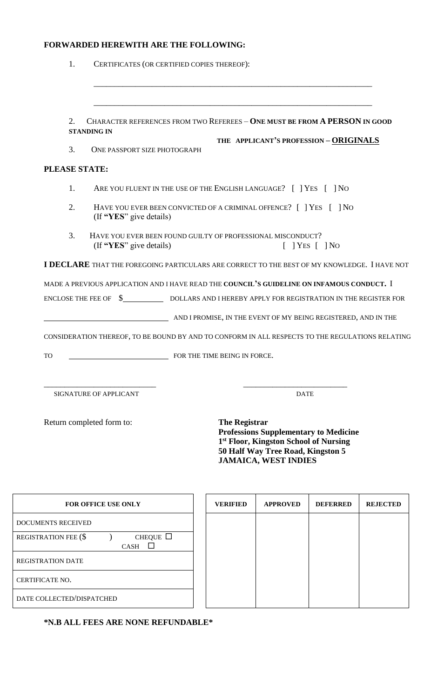### **FORWARDED HEREWITH ARE THE FOLLOWING:**

| 1.                   | CERTIFICATES (OR CERTIFIED COPIES THEREOF):                                                                            |
|----------------------|------------------------------------------------------------------------------------------------------------------------|
|                      |                                                                                                                        |
| 2.                   | <b>CHARACTER REFERENCES FROM TWO REFEREES - ONE MUST BE FROM A PERSON IN GOOD</b>                                      |
|                      | <b>STANDING IN</b>                                                                                                     |
| 3.                   | THE APPLICANT'S PROFESSION - ORIGINALS<br>ONE PASSPORT SIZE PHOTOGRAPH                                                 |
| <b>PLEASE STATE:</b> |                                                                                                                        |
| 1.                   | ARE YOU FLUENT IN THE USE OF THE ENGLISH LANGUAGE? [ ] YES [ ] NO                                                      |
| 2.                   | HAVE YOU EVER BEEN CONVICTED OF A CRIMINAL OFFENCE? [ ] YES [ ] NO<br>(If "YES" give details)                          |
| 3.                   | HAVE YOU EVER BEEN FOUND GUILTY OF PROFESSIONAL MISCONDUCT?<br>(If "YES" give details)<br>$\lceil$   YES $\lceil$   NO |
|                      | <b>I DECLARE</b> THAT THE FOREGOING PARTICULARS ARE CORRECT TO THE BEST OF MY KNOWLEDGE. I HAVE NOT                    |
|                      | MADE A PREVIOUS APPLICATION AND I HAVE READ THE COUNCIL'S GUIDELINE ON INFAMOUS CONDUCT. I                             |
|                      | ENCLOSE THE FEE OF $\quad \text{\AA}$ DOLLARS AND I HEREBY APPLY FOR REGISTRATION IN THE REGISTER FOR                  |
|                      | AND I PROMISE, IN THE EVENT OF MY BEING REGISTERED, AND IN THE                                                         |
|                      | CONSIDERATION THEREOF, TO BE BOUND BY AND TO CONFORM IN ALL RESPECTS TO THE REGULATIONS RELATING                       |
| TO                   | FOR THE TIME BEING IN FORCE.                                                                                           |
|                      |                                                                                                                        |
|                      | SIGNATURE OF APPLICANT<br><b>DATE</b>                                                                                  |

Return completed form to: **The Registrar**

**Professions Supplementary to Medicine 1 st Floor, Kingston School of Nursing 50 Half Way Tree Road, Kingston 5 JAMAICA, WEST INDIES**

| <b>FOR OFFICE USE ONLY</b>                   |  |  |  |  |
|----------------------------------------------|--|--|--|--|
| <b>DOCUMENTS RECEIVED</b>                    |  |  |  |  |
| <b>REGISTRATION FEE (\$</b><br>CHEQUE $\Box$ |  |  |  |  |
| <b>CASH</b>                                  |  |  |  |  |
| <b>REGISTRATION DATE</b>                     |  |  |  |  |
| CERTIFICATE NO.                              |  |  |  |  |
| DATE COLLECTED/DISPATCHED                    |  |  |  |  |

**FOR OFFICE VERIFIED** APPROVED **DEFERRED REJECTED** 

**\*N.B ALL FEES ARE NONE REFUNDABLE\***